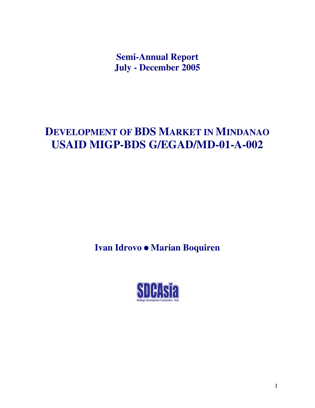**Semi-Annual Report July - December 2005**

# **DEVELOPMENT OF BDS MARKET IN MINDANAO USAID MIGP-BDS G/EGAD/MD-01-A-002**

**Ivan Idrovo Marian Boquiren**

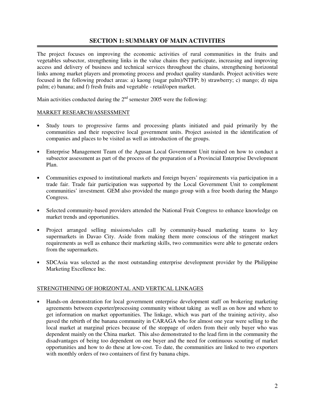# **SECTION 1: SUMMARY OF MAIN ACTIVITIES**

The project focuses on improving the economic activities of rural communities in the fruits and vegetables subsector, strengthening links in the value chains they participate, increasing and improving access and delivery of business and technical services throughout the chains, strengthening horizontal links among market players and promoting process and product quality standards. Project activities were focused in the following product areas: a) kaong (sugar palm)/NTFP; b) strawberry; c) mango; d) nipa palm; e) banana; and f) fresh fruits and vegetable - retail/open market.

Main activities conducted during the  $2<sup>nd</sup>$  semester 2005 were the following:

### MARKET RESEARCH/ASSESSMENT

- Study tours to progressive farms and processing plants initiated and paid primarily by the communities and their respective local government units. Project assisted in the identification of companies and places to be visited as well as introduction of the groups.
- Enterprise Management Team of the Agusan Local Government Unit trained on how to conduct a subsector assessment as part of the process of the preparation of a Provincial Enterprise Development Plan.
- Communities exposed to institutional markets and foreign buyers' requirements via participation in a trade fair. Trade fair participation was supported by the Local Government Unit to complement communities' investment. GEM also provided the mango group with a free booth during the Mango Congress.
- Selected community-based providers attended the National Fruit Congress to enhance knowledge on market trends and opportunities.
- Project arranged selling missions/sales call by community-based marketing teams to key supermarkets in Davao City. Aside from making them more conscious of the stringent market requirements as well as enhance their marketing skills, two communities were able to generate orders from the supermarkets.
- SDCAsia was selected as the most outstanding enterprise development provider by the Philippine Marketing Excellence Inc.

### STRENGTHENING OF HORIZONTAL AND VERTICAL LINKAGES

• Hands-on demonstration for local government enterprise development staff on brokering marketing agreements between exporter/processing community without taking as well as on how and where to get information on market opportunities. The linkage, which was part of the training activity, also paved the rebirth of the banana community in CARAGA who for almost one year were selling to the local market at marginal prices because of the stoppage of orders from their only buyer who was dependent mainly on the China market. This also demonstrated to the lead firm in the community the disadvantages of being too dependent on one buyer and the need for continuous scouting of market opportunities and how to do these at low-cost. To date, the communities are linked to two exporters with monthly orders of two containers of first fry banana chips.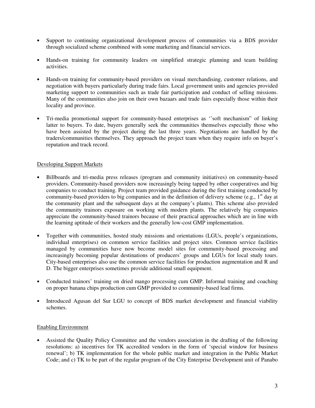- Support to continuing organizational development process of communities via a BDS provider through socialized scheme combined with some marketing and financial services.
- Hands-on training for community leaders on simplified strategic planning and team building activities.
- Hands-on training for community-based providers on visual merchandising, customer relations, and negotiation with buyers particularly during trade fairs. Local government units and agencies provided marketing support to communities such as trade fair participation and conduct of selling missions. Many of the communities also join on their own bazaars and trade fairs especially those within their locality and province.
- Tri-media promotional support for community-based enterprises as ''soft mechanism" of linking latter to buyers. To date, buyers generally seek the communities themselves especially those who have been assisted by the project during the last three years. Negotiations are handled by the traders/communities themselves. They approach the project team when they require info on buyer's reputation and track record.

# Developing Support Markets

- Billboards and tri-media press releases (program and community initiatives) on community-based providers. Community-based providers now increasingly being tapped by other cooperatives and big companies to conduct training. Project team provided guidance during the first training conducted by community-based providers to big companies and in the definition of delivery scheme (e.g., 1<sup>st</sup> day at the community plant and the subsequent days at the company's plants). This scheme also provided the community trainors exposure on working with modern plants. The relatively big companies appreciate the community-based trainors because of their practical approaches which are in line with the learning aptitude of their workers and the generally low-cost GMP implementation.
- Together with communities, hosted study missions and orientations (LGUs, people's organizations, individual enterprises) on common service facilities and project sites. Common service facilities managed by communities have now become model sites for community-based processing and increasingly becoming popular destinations of producers' groups and LGUs for local study tours. City-based enterprises also use the common service facilities for production augmentation and R and D. The bigger enterprises sometimes provide additional small equipment.
- Conducted trainors' training on dried mango processing cum GMP. Informal training and coaching on proper banana chips production cum GMP provided to community-based lead firms.
- Introduced Agusan del Sur LGU to concept of BDS market development and financial viability schemes.

### Enabling Environment

• Assisted the Quality Policy Committee and the vendors association in the drafting of the following resolutions: a) incentives for TK accredited vendors in the form of 'special window for business renewal'; b) TK implementation for the whole public market and integration in the Public Market Code; and c) TK to be part of the regular program of the City Enterprise Development unit of Panabo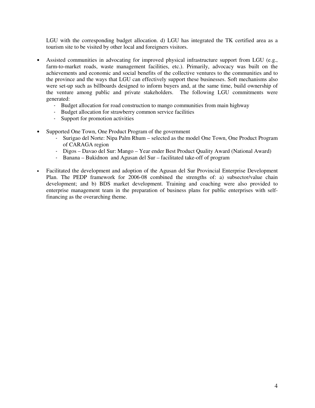LGU with the corresponding budget allocation. d) LGU has integrated the TK certified area as a tourism site to be visited by other local and foreigners visitors.

- Assisted communities in advocating for improved physical infrastructure support from LGU (e.g., farm-to-market roads, waste management facilities, etc.). Primarily, advocacy was built on the achievements and economic and social benefits of the collective ventures to the communities and to the province and the ways that LGU can effectively support these businesses. Soft mechanisms also were set-up such as billboards designed to inform buyers and, at the same time, build ownership of the venture among public and private stakeholders. The following LGU commitments were generated:
	- Budget allocation for road construction to mango communities from main highway
	- Budget allocation for strawberry common service facilities
	- Support for promotion activities
- Supported One Town, One Product Program of the government
	- Surigao del Norte: Nipa Palm Rhum selected as the model One Town, One Product Program of CARAGA region
	- Digos Davao del Sur: Mango Year ender Best Product Quality Award (National Award)
	- Banana Bukidnon and Agusan del Sur facilitated take-off of program
- Facilitated the development and adoption of the Agusan del Sur Provincial Enterprise Development Plan. The PEDP framework for 2006-08 combined the strengths of: a) subsector/value chain development; and b) BDS market development. Training and coaching were also provided to enterprise management team in the preparation of business plans for public enterprises with selffinancing as the overarching theme.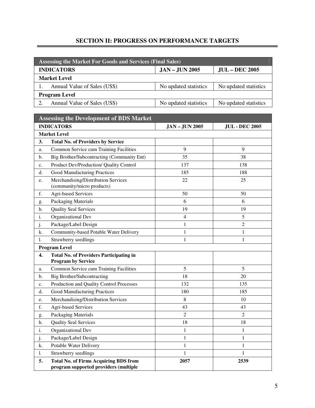# **SECTION II: PROGRESS ON PERFORMANCE TARGETS**

| <b>Assessing the Market For Goods and Services (Final Sales)</b> |                       |                       |  |
|------------------------------------------------------------------|-----------------------|-----------------------|--|
| <b>INDICATORS</b>                                                | <b>JAN - JUN 2005</b> | <b>JUL – DEC 2005</b> |  |
| <b>Market Level</b>                                              |                       |                       |  |
| Annual Value of Sales (US\$)                                     | No updated statistics | No updated statistics |  |
| <b>Program Level</b>                                             |                       |                       |  |
| Annual Value of Sales (US\$)                                     | No updated statistics | No updated statistics |  |
|                                                                  |                       |                       |  |

| <b>Assessing the Development of BDS Market</b> |                                                                                       |                |                |  |  |
|------------------------------------------------|---------------------------------------------------------------------------------------|----------------|----------------|--|--|
|                                                | <b>INDICATORS</b><br><b>JAN - JUN 2005</b><br><b>JUL - DEC 2005</b>                   |                |                |  |  |
|                                                | <b>Market Level</b>                                                                   |                |                |  |  |
| 3.                                             | <b>Total No. of Providers by Service</b>                                              |                |                |  |  |
| a.                                             | Common Service cum Training Facilities                                                | 9              | 9              |  |  |
| b.                                             | Big Brother/Subcontracting (Community Ent)                                            | 35             | 38             |  |  |
| c.                                             | Product Dev/Production/ Quality Control                                               | 137            | 138            |  |  |
| d.                                             | <b>Good Manufacturing Practices</b>                                                   | 185            | 188            |  |  |
| e.                                             | Merchandising/Distribution Services<br>(community/micro products)                     | 22             | 25             |  |  |
| f.                                             | Agri-based Services                                                                   | 50             | 50             |  |  |
| g.                                             | Packaging Materials                                                                   | 6              | 6              |  |  |
| h.                                             | <b>Quality Seal Services</b>                                                          | 19             | 19             |  |  |
| i.                                             | Organizational Dev                                                                    | $\overline{4}$ | 5              |  |  |
| j.                                             | Package/Label Design                                                                  | $\mathbf{1}$   | $\overline{2}$ |  |  |
| k.                                             | Community-based Potable Water Delivery                                                | $\mathbf{1}$   | $\mathbf 1$    |  |  |
| 1.                                             | Strawberry seedlings                                                                  | $\mathbf{1}$   | $\mathbf 1$    |  |  |
|                                                | <b>Program Level</b>                                                                  |                |                |  |  |
| 4.                                             | <b>Total No. of Providers Participating in</b><br><b>Program by Service</b>           |                |                |  |  |
| a.                                             | Common Service cum Training Facilities                                                | 5              | 5              |  |  |
| b.                                             | <b>Big Brother/Subcontracting</b>                                                     | 18             | 20             |  |  |
| c.                                             | Production and Quality Control Processes                                              | 132            | 135            |  |  |
| d.                                             | <b>Good Manufacturing Practices</b>                                                   | 180            | 185            |  |  |
| e.                                             | Merchandising/Distribution Services                                                   | 8              | 10             |  |  |
| f.                                             | <b>Agri-based Services</b>                                                            | 43             | 43             |  |  |
| g.                                             | Packaging Materials                                                                   | $\overline{2}$ | $\overline{2}$ |  |  |
| h.                                             | <b>Quality Seal Services</b>                                                          | 18             | 18             |  |  |
| i.                                             | Organizational Dev                                                                    | $\mathbf{1}$   | $\mathbf 1$    |  |  |
| j.                                             | Package/Label Design                                                                  | 1              | 1              |  |  |
| k.                                             | Potable Water Delivery                                                                | 1              | 1              |  |  |
| 1.                                             | Strawberry seedlings                                                                  | 1              | $\mathbf{1}$   |  |  |
| 5.                                             | <b>Total No. of Firms Acquiring BDS from</b><br>program supported providers (multiple | 2057           | 2539           |  |  |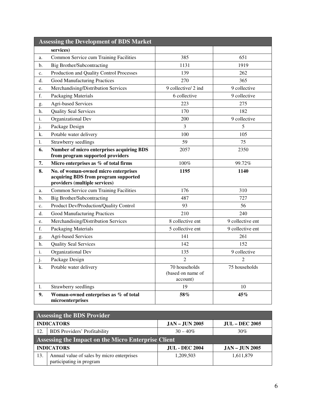|                | <b>Assessing the Development of BDS Market</b>                                                                |                                                |                  |
|----------------|---------------------------------------------------------------------------------------------------------------|------------------------------------------------|------------------|
|                | services)                                                                                                     |                                                |                  |
| a.             | Common Service cum Training Facilities                                                                        | 385                                            | 651              |
| $\mathbf{b}$ . | <b>Big Brother/Subcontracting</b>                                                                             | 1131                                           | 1919             |
| c.             | Production and Quality Control Processes                                                                      | 139                                            | 262              |
| d.             | <b>Good Manufacturing Practices</b>                                                                           | 270                                            | 365              |
| e.             | Merchandising/Distribution Services                                                                           | 9 collective/ 2 ind                            | 9 collective     |
| f.             | <b>Packaging Materials</b>                                                                                    | 6 collective                                   | 9 collective     |
| g.             | <b>Agri-based Services</b>                                                                                    | 223                                            | 275              |
| h.             | <b>Quality Seal Services</b>                                                                                  | 170                                            | 182              |
| i.             | Organizational Dev                                                                                            | 200                                            | 9 collective     |
| j.             | Package Design                                                                                                | 3                                              | 5                |
| k.             | Potable water delivery                                                                                        | 100                                            | 105              |
| 1.             | Strawberry seedlings                                                                                          | 59                                             | 75               |
| 6.             | Number of micro enterprises acquiring BDS                                                                     | 2057                                           | 2350             |
|                | from program supported providers                                                                              |                                                |                  |
| 7.             | Micro enterprises as % of total firms                                                                         | 100%                                           | 99.72%           |
| 8.             | No. of woman-owned micro enterprises<br>acquiring BDS from program supported<br>providers (multiple services) | 1195                                           | 1140             |
| a.             | Common Service cum Training Facilities                                                                        | 176                                            | 310              |
| b.             | <b>Big Brother/Subcontracting</b>                                                                             | 487                                            | 727              |
| c.             | Product Dev/Production/Quality Control                                                                        | 93                                             | 56               |
| d.             | Good Manufacturing Practices                                                                                  | 210                                            | 240              |
| e.             | Merchandising/Distribution Services                                                                           | 8 collective ent                               | 9 collective ent |
| f.             | Packaging Materials                                                                                           | 5 collective ent                               | 9 collective ent |
| g.             | <b>Agri-based Services</b>                                                                                    | 141                                            | 261              |
| h.             | <b>Quality Seal Services</b>                                                                                  | 142                                            | 152              |
| i.             | Organizational Dev                                                                                            | 135                                            | 9 collective     |
| j.             | Package Design                                                                                                | $\overline{2}$                                 | 2                |
| k.             | Potable water delivery                                                                                        | 70 households<br>(based on name of<br>account) | 75 households    |
| 1.             | Strawberry seedlings                                                                                          | 19                                             | 10               |
| 9.             | Woman-owned enterprises as % of total<br>microenterprises                                                     | 58%                                            | 45%              |

| <b>Assessing the BDS Provider</b>                   |                                                                        |                  |                       |
|-----------------------------------------------------|------------------------------------------------------------------------|------------------|-----------------------|
|                                                     | <b>INDICATORS</b>                                                      | $JAN - JUN 2005$ | <b>JUL – DEC 2005</b> |
| 12.                                                 | <b>BDS</b> Providers' Profitability                                    | $30 - 40\%$      | 30%                   |
| Assessing the Impact on the Micro Enterprise Client |                                                                        |                  |                       |
|                                                     | <b>INDICATORS</b><br><b>JUL - DEC 2004</b><br><b>JAN - JUN 2005</b>    |                  |                       |
| 13.                                                 | Annual value of sales by micro enterprises<br>participating in program | 1,209,503        | 1,611,879             |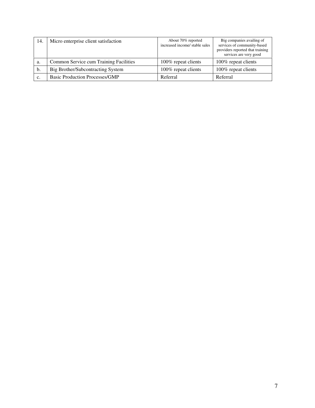| 14. | Micro enterprise client satisfaction   | About 70% reported<br>increased income/ stable sales | Big companies availing of<br>services of community-based<br>providers reported that training<br>services are very good |
|-----|----------------------------------------|------------------------------------------------------|------------------------------------------------------------------------------------------------------------------------|
| a.  | Common Service cum Training Facilities | 100% repeat clients                                  | 100% repeat clients                                                                                                    |
| b.  | Big Brother/Subcontracting System      | 100% repeat clients                                  | 100% repeat clients                                                                                                    |
| c.  | <b>Basic Production Processes/GMP</b>  | Referral                                             | Referral                                                                                                               |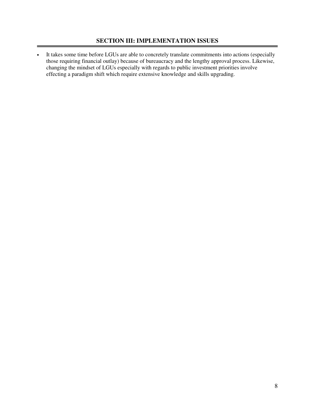• It takes some time before LGUs are able to concretely translate commitments into actions (especially those requiring financial outlay) because of bureaucracy and the lengthy approval process. Likewise, changing the mindset of LGUs especially with regards to public investment priorities involve effecting a paradigm shift which require extensive knowledge and skills upgrading.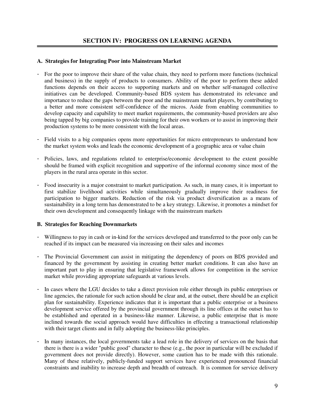### **A. Strategies for Integrating Poor into Mainstream Market**

- For the poor to improve their share of the value chain, they need to perform more functions (technical and business) in the supply of products to consumers. Ability of the poor to perform these added functions depends on their access to supporting markets and on whether self-managed collective initiatives can be developed. Community-based BDS system has demonstrated its relevance and importance to reduce the gaps between the poor and the mainstream market players, by contributing to a better and more consistent self-confidence of the micros. Aside from enabling communities to develop capacity and capability to meet market requirements, the community-based providers are also being tapped by big companies to provide training for their own workers or to assist in improving their production systems to be more consistent with the local areas.
- Field visits to a big companies opens more opportunities for micro entrepreneurs to understand how the market system woks and leads the economic development of a geographic area or value chain
- Policies, laws, and regulations related to enterprise/economic development to the extent possible should be framed with explicit recognition and supportive of the informal economy since most of the players in the rural area operate in this sector.
- Food insecurity is a major constraint to market participation. As such, in many cases, it is important to first stabilize livelihood activities while simultaneously gradually improve their readiness for participation to bigger markets. Reduction of the risk via product diversification as a means of sustainability in a long term has demonstrated to be a key strategy. Likewise, it promotes a mindset for their own development and consequently linkage with the mainstream markets

### **B. Strategies for Reaching Downmarkets**

- Willingness to pay in cash or in-kind for the services developed and transferred to the poor only can be reached if its impact can be measured via increasing on their sales and incomes
- The Provincial Government can assist in mitigating the dependency of poors on BDS provided and financed by the government by assisting in creating better market conditions. It can also have an important part to play in ensuring that legislative framework allows for competition in the service market while providing appropriate safeguards at various levels.
- In cases where the LGU decides to take a direct provision role either through its public enterprises or line agencies, the rationale for such action should be clear and, at the outset, there should be an explicit plan for sustainability. Experience indicates that it is important that a public enterprise or a business development service offered by the provincial government through its line offices at the outset has to be established and operated in a business-like manner. Likewise, a public enterprise that is more inclined towards the social approach would have difficulties in effecting a transactional relationship with their target clients and in fully adopting the business-like principles.
- In many instances, the local governments take a lead role in the delivery of services on the basis that there is there is a wider "public good" character to these (e.g., the poor in particular will be excluded if government does not provide directly). However, some caution has to be made with this rationale. Many of these relatively, publicly-funded support services have experienced pronounced financial constraints and inability to increase depth and breadth of outreach. It is common for service delivery